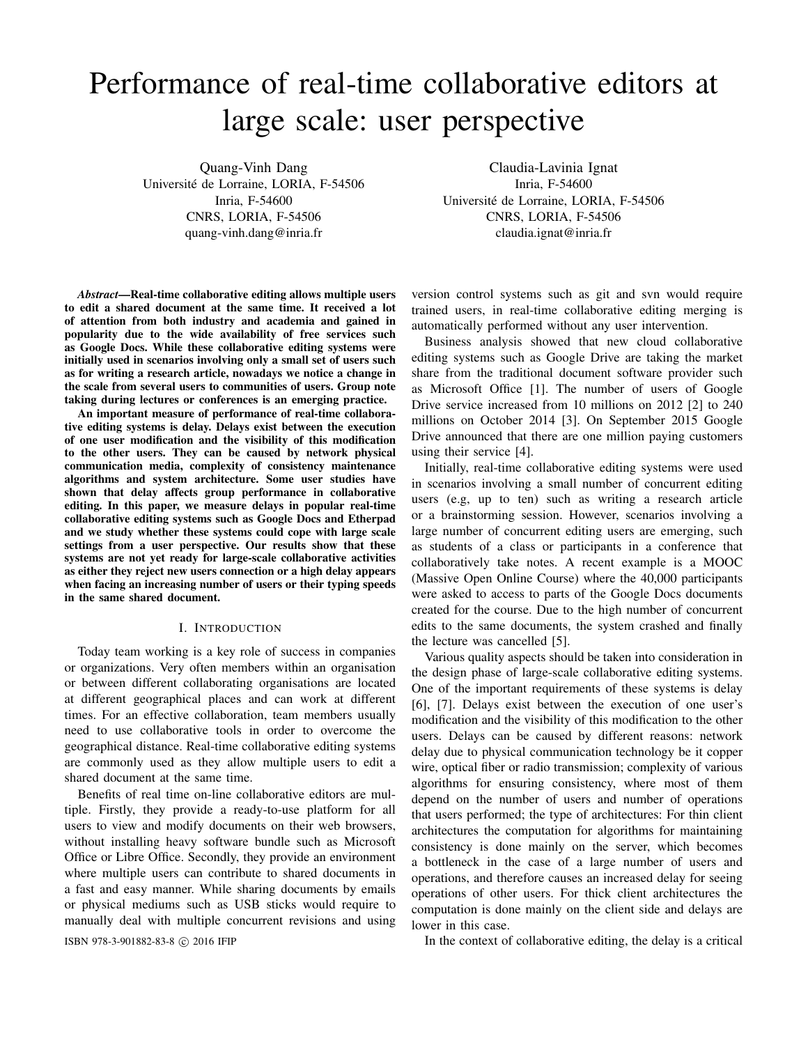# Performance of real-time collaborative editors at large scale: user perspective

Quang-Vinh Dang Universite de Lorraine, LORIA, F-54506 ´ Inria, F-54600 CNRS, LORIA, F-54506 quang-vinh.dang@inria.fr

*Abstract*—Real-time collaborative editing allows multiple users to edit a shared document at the same time. It received a lot of attention from both industry and academia and gained in popularity due to the wide availability of free services such as Google Docs. While these collaborative editing systems were initially used in scenarios involving only a small set of users such as for writing a research article, nowadays we notice a change in the scale from several users to communities of users. Group note taking during lectures or conferences is an emerging practice.

An important measure of performance of real-time collaborative editing systems is delay. Delays exist between the execution of one user modification and the visibility of this modification to the other users. They can be caused by network physical communication media, complexity of consistency maintenance algorithms and system architecture. Some user studies have shown that delay affects group performance in collaborative editing. In this paper, we measure delays in popular real-time collaborative editing systems such as Google Docs and Etherpad and we study whether these systems could cope with large scale settings from a user perspective. Our results show that these systems are not yet ready for large-scale collaborative activities as either they reject new users connection or a high delay appears when facing an increasing number of users or their typing speeds in the same shared document.

# I. INTRODUCTION

Today team working is a key role of success in companies or organizations. Very often members within an organisation or between different collaborating organisations are located at different geographical places and can work at different times. For an effective collaboration, team members usually need to use collaborative tools in order to overcome the geographical distance. Real-time collaborative editing systems are commonly used as they allow multiple users to edit a shared document at the same time.

Benefits of real time on-line collaborative editors are multiple. Firstly, they provide a ready-to-use platform for all users to view and modify documents on their web browsers, without installing heavy software bundle such as Microsoft Office or Libre Office. Secondly, they provide an environment where multiple users can contribute to shared documents in a fast and easy manner. While sharing documents by emails or physical mediums such as USB sticks would require to manually deal with multiple concurrent revisions and using

Claudia-Lavinia Ignat Inria, F-54600 Universite de Lorraine, LORIA, F-54506 ´ CNRS, LORIA, F-54506 claudia.ignat@inria.fr

version control systems such as git and svn would require trained users, in real-time collaborative editing merging is automatically performed without any user intervention.

Business analysis showed that new cloud collaborative editing systems such as Google Drive are taking the market share from the traditional document software provider such as Microsoft Office [1]. The number of users of Google Drive service increased from 10 millions on 2012 [2] to 240 millions on October 2014 [3]. On September 2015 Google Drive announced that there are one million paying customers using their service [4].

Initially, real-time collaborative editing systems were used in scenarios involving a small number of concurrent editing users (e.g, up to ten) such as writing a research article or a brainstorming session. However, scenarios involving a large number of concurrent editing users are emerging, such as students of a class or participants in a conference that collaboratively take notes. A recent example is a MOOC (Massive Open Online Course) where the 40,000 participants were asked to access to parts of the Google Docs documents created for the course. Due to the high number of concurrent edits to the same documents, the system crashed and finally the lecture was cancelled [5].

Various quality aspects should be taken into consideration in the design phase of large-scale collaborative editing systems. One of the important requirements of these systems is delay [6], [7]. Delays exist between the execution of one user's modification and the visibility of this modification to the other users. Delays can be caused by different reasons: network delay due to physical communication technology be it copper wire, optical fiber or radio transmission; complexity of various algorithms for ensuring consistency, where most of them depend on the number of users and number of operations that users performed; the type of architectures: For thin client architectures the computation for algorithms for maintaining consistency is done mainly on the server, which becomes a bottleneck in the case of a large number of users and operations, and therefore causes an increased delay for seeing operations of other users. For thick client architectures the computation is done mainly on the client side and delays are lower in this case.

ISBN 978-3-901882-83-8 © 2016 IFIP In the context of collaborative editing, the delay is a critical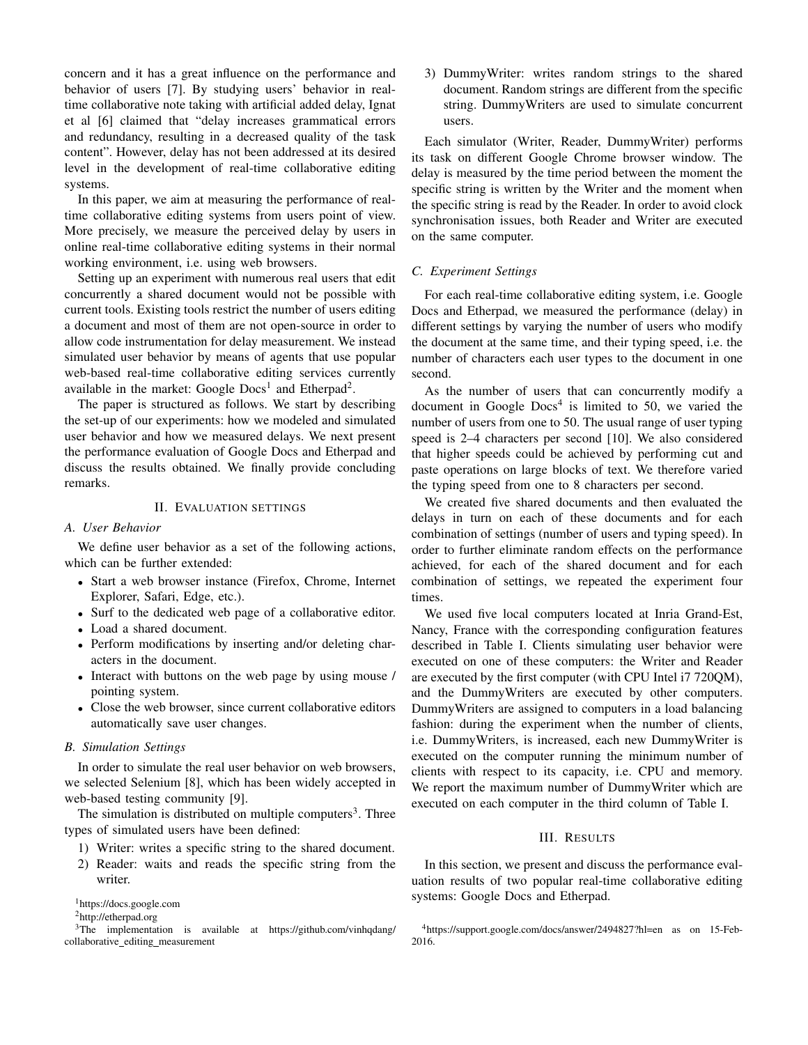concern and it has a great influence on the performance and behavior of users [7]. By studying users' behavior in realtime collaborative note taking with artificial added delay, Ignat et al [6] claimed that "delay increases grammatical errors and redundancy, resulting in a decreased quality of the task content". However, delay has not been addressed at its desired level in the development of real-time collaborative editing systems.

In this paper, we aim at measuring the performance of realtime collaborative editing systems from users point of view. More precisely, we measure the perceived delay by users in online real-time collaborative editing systems in their normal working environment, i.e. using web browsers.

Setting up an experiment with numerous real users that edit concurrently a shared document would not be possible with current tools. Existing tools restrict the number of users editing a document and most of them are not open-source in order to allow code instrumentation for delay measurement. We instead simulated user behavior by means of agents that use popular web-based real-time collaborative editing services currently available in the market: Google  $Docs<sup>1</sup>$  and Etherpad<sup>2</sup>.

The paper is structured as follows. We start by describing the set-up of our experiments: how we modeled and simulated user behavior and how we measured delays. We next present the performance evaluation of Google Docs and Etherpad and discuss the results obtained. We finally provide concluding remarks.

# II. EVALUATION SETTINGS

#### *A. User Behavior*

We define user behavior as a set of the following actions, which can be further extended:

- Start a web browser instance (Firefox, Chrome, Internet Explorer, Safari, Edge, etc.).
- Surf to the dedicated web page of a collaborative editor.
- Load a shared document.
- Perform modifications by inserting and/or deleting characters in the document.
- Interact with buttons on the web page by using mouse / pointing system.
- Close the web browser, since current collaborative editors automatically save user changes.

#### *B. Simulation Settings*

In order to simulate the real user behavior on web browsers, we selected Selenium [8], which has been widely accepted in web-based testing community [9].

The simulation is distributed on multiple computers<sup>3</sup>. Three types of simulated users have been defined:

- 1) Writer: writes a specific string to the shared document.
- 2) Reader: waits and reads the specific string from the writer.

3) DummyWriter: writes random strings to the shared document. Random strings are different from the specific string. DummyWriters are used to simulate concurrent users.

Each simulator (Writer, Reader, DummyWriter) performs its task on different Google Chrome browser window. The delay is measured by the time period between the moment the specific string is written by the Writer and the moment when the specific string is read by the Reader. In order to avoid clock synchronisation issues, both Reader and Writer are executed on the same computer.

#### *C. Experiment Settings*

For each real-time collaborative editing system, i.e. Google Docs and Etherpad, we measured the performance (delay) in different settings by varying the number of users who modify the document at the same time, and their typing speed, i.e. the number of characters each user types to the document in one second.

As the number of users that can concurrently modify a document in Google  $Docs<sup>4</sup>$  is limited to 50, we varied the number of users from one to 50. The usual range of user typing speed is 2–4 characters per second [10]. We also considered that higher speeds could be achieved by performing cut and paste operations on large blocks of text. We therefore varied the typing speed from one to 8 characters per second.

We created five shared documents and then evaluated the delays in turn on each of these documents and for each combination of settings (number of users and typing speed). In order to further eliminate random effects on the performance achieved, for each of the shared document and for each combination of settings, we repeated the experiment four times.

We used five local computers located at Inria Grand-Est, Nancy, France with the corresponding configuration features described in Table I. Clients simulating user behavior were executed on one of these computers: the Writer and Reader are executed by the first computer (with CPU Intel i7 720QM), and the DummyWriters are executed by other computers. DummyWriters are assigned to computers in a load balancing fashion: during the experiment when the number of clients, i.e. DummyWriters, is increased, each new DummyWriter is executed on the computer running the minimum number of clients with respect to its capacity, i.e. CPU and memory. We report the maximum number of DummyWriter which are executed on each computer in the third column of Table I.

# III. RESULTS

In this section, we present and discuss the performance evaluation results of two popular real-time collaborative editing systems: Google Docs and Etherpad.

<sup>1</sup>https://docs.google.com

<sup>2</sup>http://etherpad.org

<sup>&</sup>lt;sup>3</sup>The implementation is available at https://github.com/vinhqdang/ collaborative\_editing\_measurement

<sup>4</sup>https://support.google.com/docs/answer/2494827?hl=en as on 15-Feb-2016.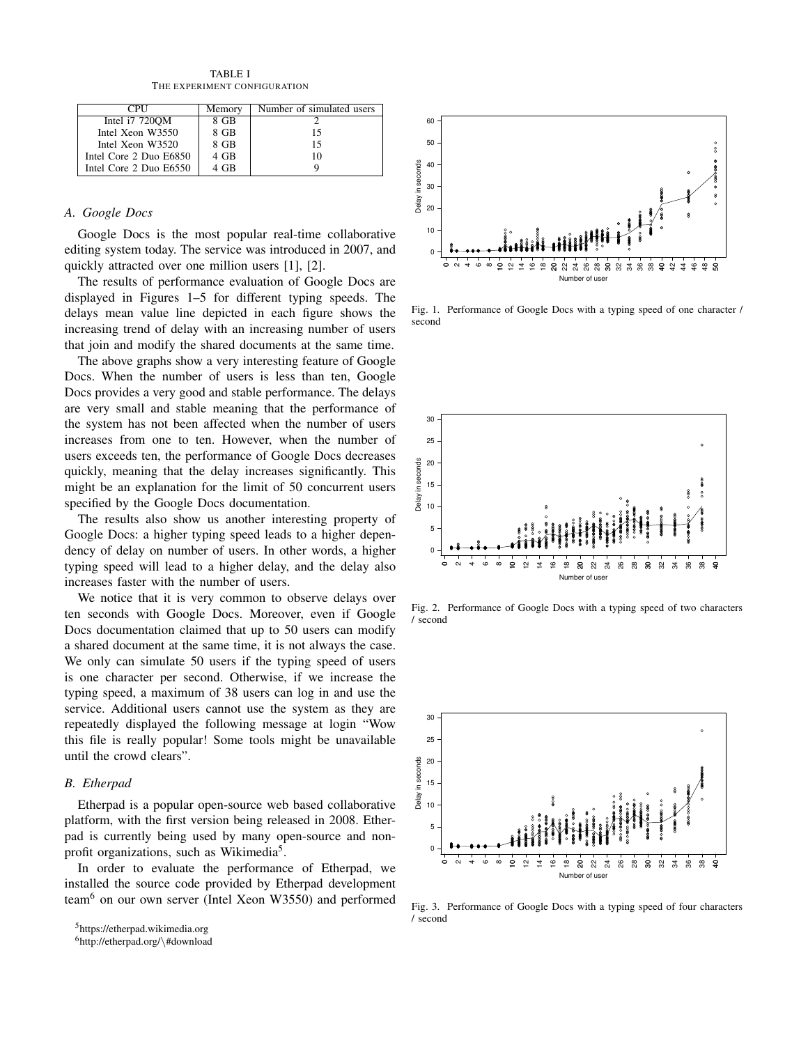TABLE I THE EXPERIMENT CONFIGURATION

| <b>CPI</b> I           | Memory | Number of simulated users |
|------------------------|--------|---------------------------|
| Intel i7 7200M         | 8 GB   |                           |
| Intel Xeon W3550       | 8 GB   | 15                        |
| Intel Xeon W3520       | 8 GB   | 15                        |
| Intel Core 2 Duo E6850 | 4 GB   | 10                        |
| Intel Core 2 Duo E6550 | 4 GB   |                           |

# *A. Google Docs*

Google Docs is the most popular real-time collaborative editing system today. The service was introduced in 2007, and quickly attracted over one million users [1], [2].

The results of performance evaluation of Google Docs are displayed in Figures 1–5 for different typing speeds. The delays mean value line depicted in each figure shows the increasing trend of delay with an increasing number of users that join and modify the shared documents at the same time.

The above graphs show a very interesting feature of Google Docs. When the number of users is less than ten, Google Docs provides a very good and stable performance. The delays are very small and stable meaning that the performance of the system has not been affected when the number of users increases from one to ten. However, when the number of users exceeds ten, the performance of Google Docs decreases quickly, meaning that the delay increases significantly. This might be an explanation for the limit of 50 concurrent users specified by the Google Docs documentation.

The results also show us another interesting property of Google Docs: a higher typing speed leads to a higher dependency of delay on number of users. In other words, a higher typing speed will lead to a higher delay, and the delay also increases faster with the number of users.

We notice that it is very common to observe delays over ten seconds with Google Docs. Moreover, even if Google Docs documentation claimed that up to 50 users can modify a shared document at the same time, it is not always the case. We only can simulate 50 users if the typing speed of users is one character per second. Otherwise, if we increase the typing speed, a maximum of 38 users can log in and use the service. Additional users cannot use the system as they are repeatedly displayed the following message at login "Wow this file is really popular! Some tools might be unavailable until the crowd clears".

# *B. Etherpad*

Etherpad is a popular open-source web based collaborative platform, with the first version being released in 2008. Etherpad is currently being used by many open-source and nonprofit organizations, such as Wikimedia<sup>5</sup>.

In order to evaluate the performance of Etherpad, we installed the source code provided by Etherpad development team<sup>6</sup> on our own server (Intel Xeon W3550) and performed



Fig. 1. Performance of Google Docs with a typing speed of one character / second



Fig. 2. Performance of Google Docs with a typing speed of two characters / second



Fig. 3. Performance of Google Docs with a typing speed of four characters / second

<sup>5</sup>https://etherpad.wikimedia.org

<sup>6</sup>http://etherpad.org/\#download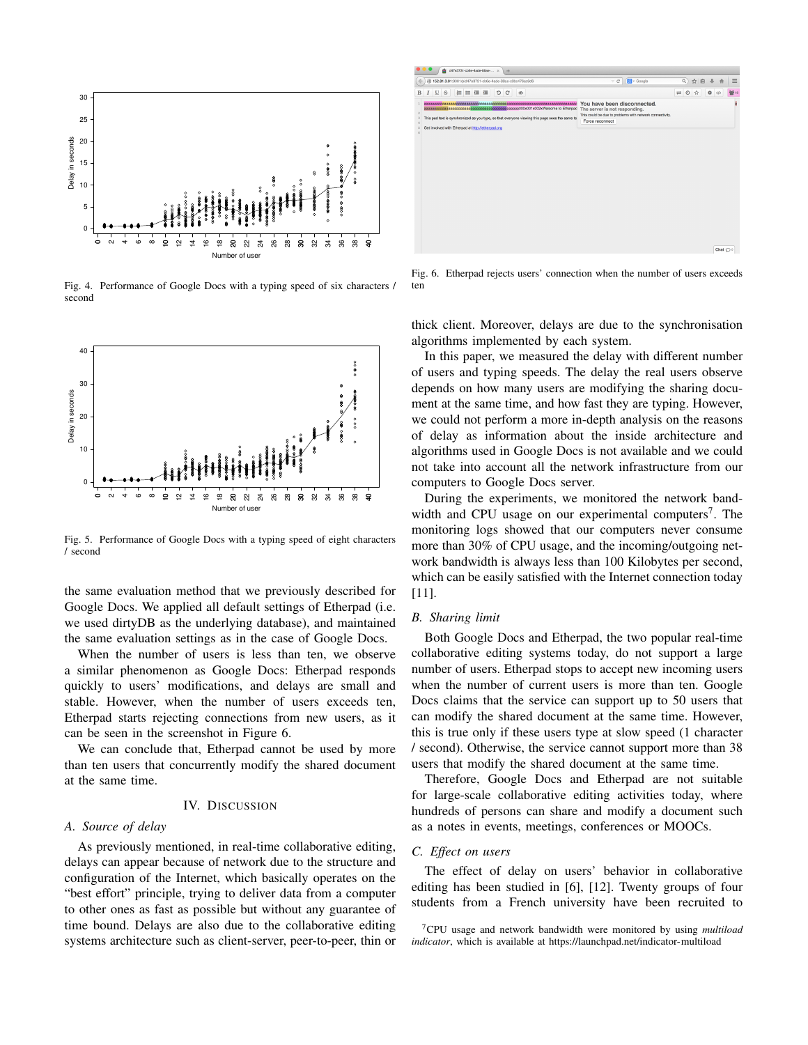

Fig. 4. Performance of Google Docs with a typing speed of six characters / second



Fig. 5. Performance of Google Docs with a typing speed of eight characters / second

the same evaluation method that we previously described for Google Docs. We applied all default settings of Etherpad (i.e. we used dirtyDB as the underlying database), and maintained the same evaluation settings as in the case of Google Docs.

When the number of users is less than ten, we observe a similar phenomenon as Google Docs: Etherpad responds quickly to users' modifications, and delays are small and stable. However, when the number of users exceeds ten, Etherpad starts rejecting connections from new users, as it can be seen in the screenshot in Figure 6.

We can conclude that, Etherpad cannot be used by more than ten users that concurrently modify the shared document at the same time.

#### IV. DISCUSSION

# *A. Source of delay*

As previously mentioned, in real-time collaborative editing, delays can appear because of network due to the structure and configuration of the Internet, which basically operates on the "best effort" principle, trying to deliver data from a computer to other ones as fast as possible but without any guarantee of time bound. Delays are also due to the collaborative editing systems architecture such as client-server, peer-to-peer, thin or



Fig. 6. Etherpad rejects users' connection when the number of users exceeds ten

thick client. Moreover, delays are due to the synchronisation algorithms implemented by each system.

In this paper, we measured the delay with different number of users and typing speeds. The delay the real users observe depends on how many users are modifying the sharing document at the same time, and how fast they are typing. However, we could not perform a more in-depth analysis on the reasons of delay as information about the inside architecture and algorithms used in Google Docs is not available and we could not take into account all the network infrastructure from our computers to Google Docs server.

During the experiments, we monitored the network bandwidth and CPU usage on our experimental computers<sup>7</sup>. The monitoring logs showed that our computers never consume more than 30% of CPU usage, and the incoming/outgoing network bandwidth is always less than 100 Kilobytes per second, which can be easily satisfied with the Internet connection today [11].

# *B. Sharing limit*

Both Google Docs and Etherpad, the two popular real-time collaborative editing systems today, do not support a large number of users. Etherpad stops to accept new incoming users when the number of current users is more than ten. Google Docs claims that the service can support up to 50 users that can modify the shared document at the same time. However, this is true only if these users type at slow speed (1 character / second). Otherwise, the service cannot support more than 38 users that modify the shared document at the same time.

Therefore, Google Docs and Etherpad are not suitable for large-scale collaborative editing activities today, where hundreds of persons can share and modify a document such as a notes in events, meetings, conferences or MOOCs.

#### *C. Effect on users*

The effect of delay on users' behavior in collaborative editing has been studied in [6], [12]. Twenty groups of four students from a French university have been recruited to

<sup>7</sup>CPU usage and network bandwidth were monitored by using *multiload indicator*, which is available at https://launchpad.net/indicator-multiload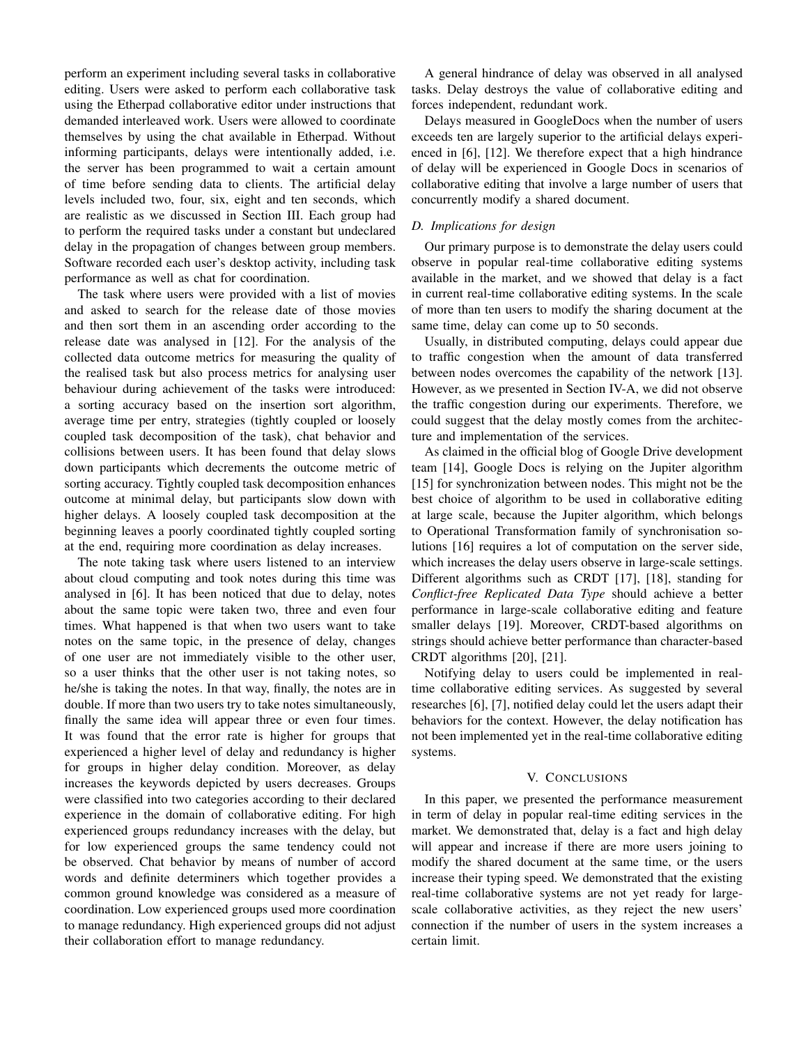perform an experiment including several tasks in collaborative editing. Users were asked to perform each collaborative task using the Etherpad collaborative editor under instructions that demanded interleaved work. Users were allowed to coordinate themselves by using the chat available in Etherpad. Without informing participants, delays were intentionally added, i.e. the server has been programmed to wait a certain amount of time before sending data to clients. The artificial delay levels included two, four, six, eight and ten seconds, which are realistic as we discussed in Section III. Each group had to perform the required tasks under a constant but undeclared delay in the propagation of changes between group members. Software recorded each user's desktop activity, including task performance as well as chat for coordination.

The task where users were provided with a list of movies and asked to search for the release date of those movies and then sort them in an ascending order according to the release date was analysed in [12]. For the analysis of the collected data outcome metrics for measuring the quality of the realised task but also process metrics for analysing user behaviour during achievement of the tasks were introduced: a sorting accuracy based on the insertion sort algorithm, average time per entry, strategies (tightly coupled or loosely coupled task decomposition of the task), chat behavior and collisions between users. It has been found that delay slows down participants which decrements the outcome metric of sorting accuracy. Tightly coupled task decomposition enhances outcome at minimal delay, but participants slow down with higher delays. A loosely coupled task decomposition at the beginning leaves a poorly coordinated tightly coupled sorting at the end, requiring more coordination as delay increases.

The note taking task where users listened to an interview about cloud computing and took notes during this time was analysed in [6]. It has been noticed that due to delay, notes about the same topic were taken two, three and even four times. What happened is that when two users want to take notes on the same topic, in the presence of delay, changes of one user are not immediately visible to the other user, so a user thinks that the other user is not taking notes, so he/she is taking the notes. In that way, finally, the notes are in double. If more than two users try to take notes simultaneously, finally the same idea will appear three or even four times. It was found that the error rate is higher for groups that experienced a higher level of delay and redundancy is higher for groups in higher delay condition. Moreover, as delay increases the keywords depicted by users decreases. Groups were classified into two categories according to their declared experience in the domain of collaborative editing. For high experienced groups redundancy increases with the delay, but for low experienced groups the same tendency could not be observed. Chat behavior by means of number of accord words and definite determiners which together provides a common ground knowledge was considered as a measure of coordination. Low experienced groups used more coordination to manage redundancy. High experienced groups did not adjust their collaboration effort to manage redundancy.

A general hindrance of delay was observed in all analysed tasks. Delay destroys the value of collaborative editing and forces independent, redundant work.

Delays measured in GoogleDocs when the number of users exceeds ten are largely superior to the artificial delays experienced in [6], [12]. We therefore expect that a high hindrance of delay will be experienced in Google Docs in scenarios of collaborative editing that involve a large number of users that concurrently modify a shared document.

# *D. Implications for design*

Our primary purpose is to demonstrate the delay users could observe in popular real-time collaborative editing systems available in the market, and we showed that delay is a fact in current real-time collaborative editing systems. In the scale of more than ten users to modify the sharing document at the same time, delay can come up to 50 seconds.

Usually, in distributed computing, delays could appear due to traffic congestion when the amount of data transferred between nodes overcomes the capability of the network [13]. However, as we presented in Section IV-A, we did not observe the traffic congestion during our experiments. Therefore, we could suggest that the delay mostly comes from the architecture and implementation of the services.

As claimed in the official blog of Google Drive development team [14], Google Docs is relying on the Jupiter algorithm [15] for synchronization between nodes. This might not be the best choice of algorithm to be used in collaborative editing at large scale, because the Jupiter algorithm, which belongs to Operational Transformation family of synchronisation solutions [16] requires a lot of computation on the server side, which increases the delay users observe in large-scale settings. Different algorithms such as CRDT [17], [18], standing for *Conflict-free Replicated Data Type* should achieve a better performance in large-scale collaborative editing and feature smaller delays [19]. Moreover, CRDT-based algorithms on strings should achieve better performance than character-based CRDT algorithms [20], [21].

Notifying delay to users could be implemented in realtime collaborative editing services. As suggested by several researches [6], [7], notified delay could let the users adapt their behaviors for the context. However, the delay notification has not been implemented yet in the real-time collaborative editing systems.

## V. CONCLUSIONS

In this paper, we presented the performance measurement in term of delay in popular real-time editing services in the market. We demonstrated that, delay is a fact and high delay will appear and increase if there are more users joining to modify the shared document at the same time, or the users increase their typing speed. We demonstrated that the existing real-time collaborative systems are not yet ready for largescale collaborative activities, as they reject the new users' connection if the number of users in the system increases a certain limit.